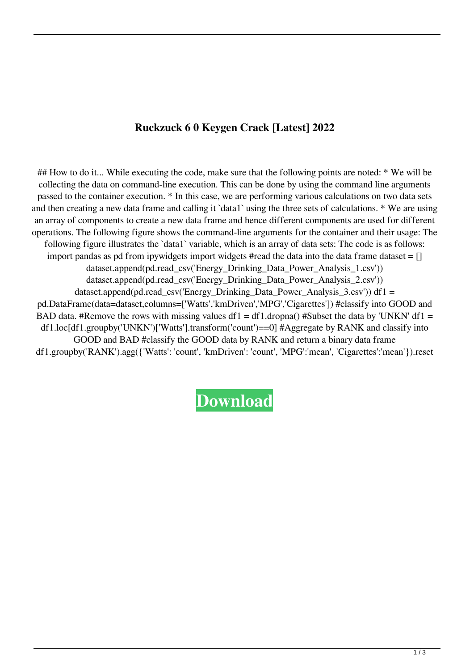## **Ruckzuck 6 0 Keygen Crack [Latest] 2022**

## How to do it... While executing the code, make sure that the following points are noted: \* We will be collecting the data on command-line execution. This can be done by using the command line arguments passed to the container execution. \* In this case, we are performing various calculations on two data sets and then creating a new data frame and calling it `data1` using the three sets of calculations. \* We are using an array of components to create a new data frame and hence different components are used for different operations. The following figure shows the command-line arguments for the container and their usage: The following figure illustrates the `data1` variable, which is an array of data sets: The code is as follows: import pandas as pd from ipywidgets import widgets #read the data into the data frame dataset  $= []$ dataset.append(pd.read\_csv('Energy\_Drinking\_Data\_Power\_Analysis\_1.csv')) dataset.append(pd.read\_csv('Energy\_Drinking\_Data\_Power\_Analysis\_2.csv')) dataset.append(pd.read\_csv('Energy\_Drinking\_Data\_Power\_Analysis\_3.csv')) df1 = pd.DataFrame(data=dataset,columns=['Watts','kmDriven','MPG','Cigarettes']) #classify into GOOD and BAD data. #Remove the rows with missing values df1 = df1.dropna() #Subset the data by 'UNKN' df1 = df1.loc[df1.groupby('UNKN')['Watts'].transform('count')==0] #Aggregate by RANK and classify into GOOD and BAD #classify the GOOD data by RANK and return a binary data frame df1.groupby('RANK').agg({'Watts': 'count', 'kmDriven': 'count', 'MPG':'mean', 'Cigarettes':'mean'}).reset

**[Download](http://evacdir.com/corticosteroid/millionairemindsets.dentine?sheens=ZG93bmxvYWR8eHc4WjJSM2ZId3hOalV5TkRZek1EVXdmSHd5TlRjMGZId29UU2tnY21WaFpDMWliRzluSUZ0R1lYTjBJRWRGVGww/salpetriere.cnVja3p1Y2sgNiAwIGtleWdlbiBjcmFjawcnV)**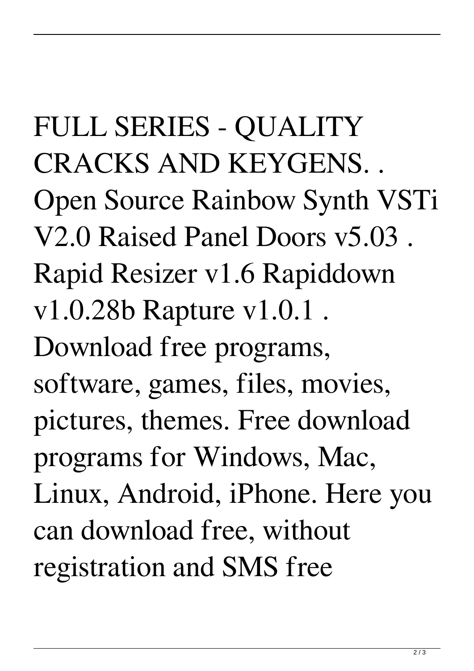FULL SERIES - QUALITY CRACKS AND KEYGENS. . Open Source Rainbow Synth VSTi V2.0 Raised Panel Doors v5.03 . Rapid Resizer v1.6 Rapiddown v1.0.28b Rapture v1.0.1 . Download free programs, software, games, files, movies, pictures, themes. Free download programs for Windows, Mac, Linux, Android, iPhone. Here you can download free, without registration and SMS free